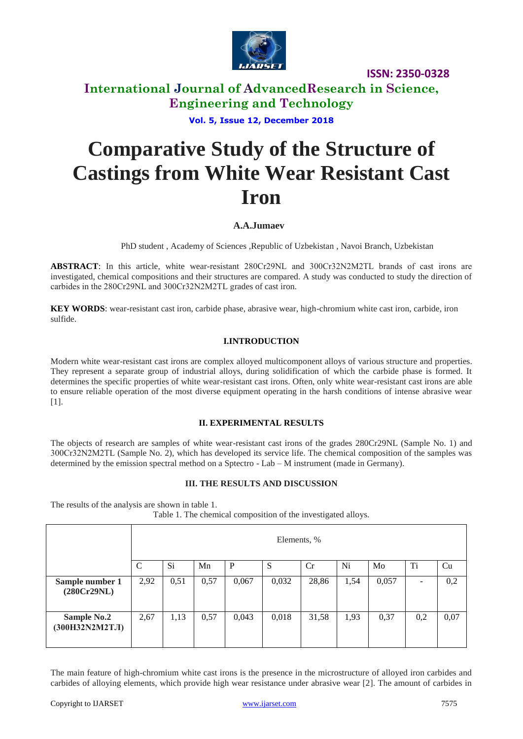

**ISSN: 2350-0328**

## **International Journal of AdvancedResearch in Science, Engineering and Technology**

**Vol. 5, Issue 12, December 2018**

# **Comparative Study of the Structure of Castings from White Wear Resistant Cast Iron**

#### **A.A.Jumaev**

PhD student , Academy of Sciences ,Republic of Uzbekistan , Navoi Branch, Uzbekistan

**ABSTRACT**: In this article, white wear-resistant 280Cr29NL and 300Cr32N2М2ТL brands of cast irons are investigated, chemical compositions and their structures are compared. A study was conducted to study the direction of carbides in the 280Cr29NL and 300Cr32N2М2ТL grades of cast iron.

**KEY WORDS**: wear-resistant cast iron, carbide phase, abrasive wear, high-chromium white cast iron, carbide, iron sulfide.

#### **I.INTRODUCTION**

Modern white wear-resistant cast irons are complex alloyed multicomponent alloys of various structure and properties. They represent a separate group of industrial alloys, during solidification of which the carbide phase is formed. It determines the specific properties of white wear-resistant cast irons. Often, only white wear-resistant cast irons are able to ensure reliable operation of the most diverse equipment operating in the harsh conditions of intense abrasive wear [1].

#### **II. EXPERIMENTAL RESULTS**

The objects of research are samples of white wear-resistant cast irons of the grades 280Cr29NL (Sample No. 1) and 300Cr32N2М2ТL (Sample No. 2), which has developed its service life. The chemical composition of the samples was determined by the emission spectral method on a Sptectro - Lab – M instrument (made in Germany).

#### **III. THE RESULTS AND DISCUSSION**

The results of the analysis are shown in table 1.

|  |  |  | Table 1. The chemical composition of the investigated alloys. |  |
|--|--|--|---------------------------------------------------------------|--|
|  |  |  |                                                               |  |

|                                       | Elements, %  |      |      |       |       |       |      |       |     |      |
|---------------------------------------|--------------|------|------|-------|-------|-------|------|-------|-----|------|
|                                       | $\mathsf{C}$ | Si.  | Mn   | P     | S     | Cr    | Ni   | Mo    | Ti  | Cu   |
| Sample number 1<br>(280Cr29NL)        | 2,92         | 0,51 | 0,57 | 0,067 | 0,032 | 28,86 | 1,54 | 0,057 | -   | 0,2  |
| <b>Sample No.2</b><br>(300H32N2M2TJI) | 2,67         | 1,13 | 0,57 | 0,043 | 0,018 | 31,58 | 1,93 | 0,37  | 0,2 | 0,07 |

The main feature of high-chromium white cast irons is the presence in the microstructure of alloyed iron carbides and carbides of alloying elements, which provide high wear resistance under abrasive wear [2]. The amount of carbides in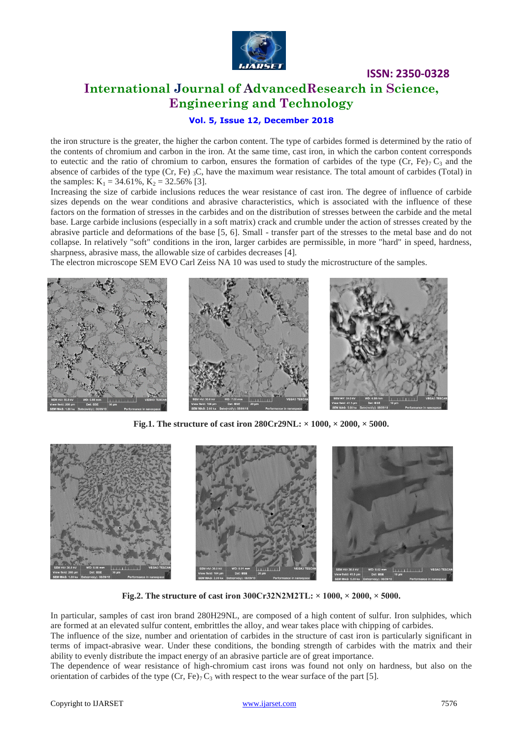

# **International Journal of AdvancedResearch in Science, Engineering and Technology**

**ISSN: 2350-0328**

#### **Vol. 5, Issue 12, December 2018**

the iron structure is the greater, the higher the carbon content. The type of carbides formed is determined by the ratio of the contents of chromium and carbon in the iron. At the same time, cast iron, in which the carbon content corresponds to eutectic and the ratio of chromium to carbon, ensures the formation of carbides of the type (Cr, Fe)<sub>7</sub> C<sub>3</sub> and the absence of carbides of the type (Cr, Fe)  $_3$ C, have the maximum wear resistance. The total amount of carbides (Total) in the samples:  $K_1 = 34.61\%$ ,  $K_2 = 32.56\%$  [3].

Increasing the size of carbide inclusions reduces the wear resistance of cast iron. The degree of influence of carbide sizes depends on the wear conditions and abrasive characteristics, which is associated with the influence of these factors on the formation of stresses in the carbides and on the distribution of stresses between the carbide and the metal base. Large carbide inclusions (especially in a soft matrix) crack and crumble under the action of stresses created by the abrasive particle and deformations of the base [5, 6]. Small - transfer part of the stresses to the metal base and do not collapse. In relatively "soft" conditions in the iron, larger carbides are permissible, in more "hard" in speed, hardness, sharpness, abrasive mass, the allowable size of carbides decreases [4].

The electron microscope SEM EVO Carl Zeiss NA 10 was used to study the microstructure of the samples.



**Fig.1. The structure of cast iron 280Cr29NL: × 1000, × 2000, × 5000.**



**Fig.2. The structure of cast iron 300Cr32N2М2ТL: × 1000, × 2000, × 5000.**

In particular, samples of cast iron brand 280H29NL, are composed of a high content of sulfur. Iron sulphides, which are formed at an elevated sulfur content, embrittles the alloy, and wear takes place with chipping of carbides.

The influence of the size, number and orientation of carbides in the structure of cast iron is particularly significant in terms of impact-abrasive wear. Under these conditions, the bonding strength of carbides with the matrix and their ability to evenly distribute the impact energy of an abrasive particle are of great importance.

The dependence of wear resistance of high-chromium cast irons was found not only on hardness, but also on the orientation of carbides of the type  $(Cr, Fe)_7 C_3$  with respect to the wear surface of the part [5].